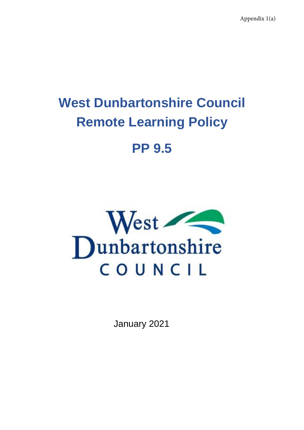Appendix 1(a)

# **West Dunbartonshire Council Remote Learning Policy**

# **PP 9.5**



January 2021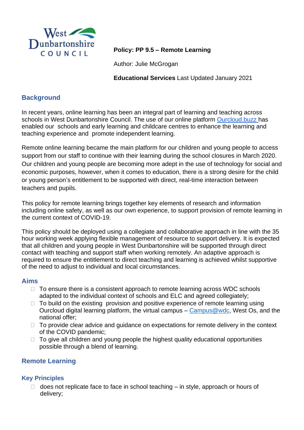

# **Policy: PP 9.5 – Remote Learning**

Author: Julie McGrogan

**Educational Services** Last Updated January 2021

# **Background**

In recent years, online learning has been an integral part of learning and teaching across schools in West Dunbartonshire Council. The use of our online platform [Ourcloud.buzz](https://sites.google.com/ourcloud.buzz/public) has enabled our schools and early learning and childcare centres to enhance the learning and teaching experience and promote independent learning.

Remote online learning became the main platform for our children and young people to access support from our staff to continue with their learning during the school closures in March 2020. Our children and young people are becoming more adept in the use of technology for social and economic purposes, however, when it comes to education, there is a strong desire for the child or young person's entitlement to be supported with direct, real-time interaction between teachers and pupils.

This policy for remote learning brings together key elements of research and information including online safety, as well as our own experience, to support provision of remote learning in the current context of COVID-19.

This policy should be deployed using a collegiate and collaborative approach in line with the 35 hour working week applying flexible management of resource to support delivery. It is expected that all children and young people in West Dunbartonshire will be supported through direct contact with teaching and support staff when working remotely. An adaptive approach is required to ensure the entitlement to direct teaching and learning is achieved whilst supportive of the need to adjust to individual and local circumstances.

# **Aims**

- $\Box$  To ensure there is a consistent approach to remote learning across WDC schools adapted to the individual context of schools and ELC and agreed collegiately;
- $\Box$  To build on the existing provision and positive experience of remote learning using Ourcloud digital learning platform, the virtual campus – [Campus@wdc,](https://sites.google.com/ourcloud.buzz/wdcvirtualschool/home) West Os, and the national offer;
- $\Box$  To provide clear advice and guidance on expectations for remote delivery in the context of the COVID pandemic;
- $\Box$  To give all children and young people the highest quality educational opportunities possible through a blend of learning.

# **Remote Learning**

# **Key Principles**

 $\Box$  does not replicate face to face in school teaching – in style, approach or hours of delivery;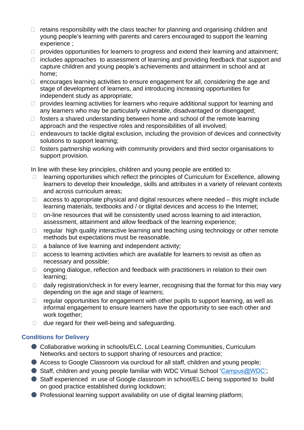- $\Box$  retains responsibility with the class teacher for planning and organising children and young people's learning with parents and carers encouraged to support the learning experience ;
- $\Box$  provides opportunities for learners to progress and extend their learning and attainment;
- $\Box$  includes approaches to assessment of learning and providing feedback that support and capture children and young people's achievements and attainment in school and at home;
- $\Box$  encourages learning activities to ensure engagement for all, considering the age and stage of development of learners, and introducing increasing opportunities for independent study as appropriate;
- $\Box$  provides learning activities for learners who require additional support for learning and any learners who may be particularly vulnerable, disadvantaged or disengaged;
- $\Box$  fosters a shared understanding between home and school of the remote learning approach and the respective roles and responsibilities of all involved;
- $\Box$  endeavours to tackle digital exclusion, including the provision of devices and connectivity solutions to support learning;
- $\Box$  fosters partnership working with community providers and third sector organisations to support provision.

In line with these key principles, children and young people are entitled to:

- $\Box$  learning opportunities which reflect the principles of Curriculum for Excellence, allowing learners to develop their knowledge, skills and attributes in a variety of relevant contexts and across curriculum areas;
- $\Box$  access to appropriate physical and digital resources where needed this might include learning materials, textbooks and / or digital devices and access to the Internet;
- $\Box$  on-line resources that will be consistently used across learning to aid interaction, assessment, attainment and allow feedback of the learning experience;
- $\Box$  regular high quality interactive learning and teaching using technology or other remote methods but expectations must be reasonable.
- $\Box$  a balance of live learning and independent activity;
- $\Box$  access to learning activities which are available for learners to revisit as often as necessary and possible;
- $\Box$  ongoing dialogue, reflection and feedback with practitioners in relation to their own learning;
- $\Box$  daily registration/check in for every learner, recognising that the format for this may vary depending on the age and stage of learners;
- $\Box$  regular opportunities for engagement with other pupils to support learning, as well as informal engagement to ensure learners have the opportunity to see each other and work together;
- $\Box$  due regard for their well-being and safeguarding.

# **Conditions for Delivery**

- Collaborative working in schools/ELC, Local Learning Communities, Curriculum Networks and sectors to support sharing of resources and practice;
- Access to Google Classroom via ourcloud for all staff, children and young people;
- Staff, children and young people familiar with WDC Virtual School ['Campus@WDC';](https://sites.google.com/ourcloud.buzz/wdcvirtualschool/home)
- Staff experienced in use of Google classroom in school/ELC being supported to build on good practice established during lockdown;
- Professional learning support availability on use of digital learning platform;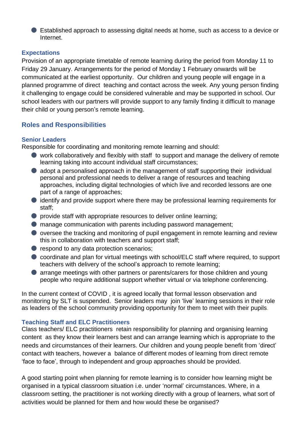● Established approach to assessing digital needs at home, such as access to a device or Internet.

#### **Expectations**

Provision of an appropriate timetable of remote learning during the period from Monday 11 to Friday 29 January. Arrangements for the period of Monday 1 February onwards will be communicated at the earliest opportunity. Our children and young people will engage in a planned programme of direct teaching and contact across the week. Any young person finding it challenging to engage could be considered vulnerable and may be supported in school. Our school leaders with our partners will provide support to any family finding it difficult to manage their child or young person's remote learning.

# **Roles and Responsibilities**

#### **Senior Leaders**

Responsible for coordinating and monitoring remote learning and should:

- work collaboratively and flexibly with staff to support and manage the delivery of remote learning taking into account individual staff circumstances;
- adopt a personalised approach in the management of staff supporting their individual personal and professional needs to deliver a range of resources and teaching approaches, including digital technologies of which live and recorded lessons are one part of a range of approaches;
- identify and provide support where there may be professional learning requirements for staff;
- provide staff with appropriate resources to deliver online learning;
- manage communication with parents including password management;
- oversee the tracking and monitoring of pupil engagement in remote learning and review this in collaboration with teachers and support staff;
- respond to any data protection scenarios;
- coordinate and plan for virtual meetings with school/ELC staff where required, to support teachers with delivery of the school's approach to remote learning;
- arrange meetings with other partners or parents/carers for those children and young people who require additional support whether virtual or via telephone conferencing.

In the current context of COVID , it is agreed locally that formal lesson observation and monitoring by SLT is suspended. Senior leaders may join 'live' learning sessions in their role as leaders of the school community providing opportunity for them to meet with their pupils.

# **Teaching Staff and ELC Practitioners**

Class teachers/ ELC practitioners retain responsibility for planning and organising learning content as they know their learners best and can arrange learning which is appropriate to the needs and circumstances of their learners. Our children and young people benefit from 'direct' contact with teachers, however a balance of different modes of learning from direct remote 'face to face', through to independent and group approaches should be provided.

A good starting point when planning for remote learning is to consider how learning might be organised in a typical classroom situation i.e. under 'normal' circumstances. Where, in a classroom setting, the practitioner is not working directly with a group of learners, what sort of activities would be planned for them and how would these be organised?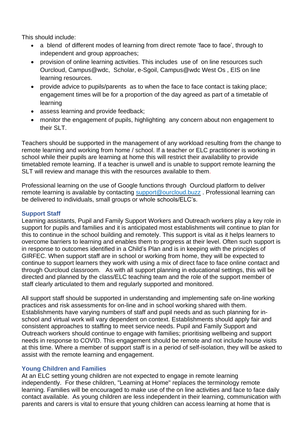This should include:

- a blend of different modes of learning from direct remote 'face to face', through to independent and group approaches;
- provision of online learning activities. This includes use ofon line resources such Ourcloud, Campus@wdc, Scholar, e-Sgoil, Campus@wdc West Os , EIS on line learning resources.
- provide advice to pupils/parents as to when the face to face contact is taking place; engagement times will be for a proportion of the day agreed as part of a timetable of learning
- assess learning and provide feedback;
- monitor the engagement of pupils, highlighting any concern about non engagement to their SLT.

Teachers should be supported in the management of any workload resulting from the change to remote learning and working from home / school. If a teacher or ELC practitioner is working in school while their pupils are learning at home this will restrict their availability to provide timetabled remote learning. If a teacher is unwell and is unable to support remote learning the SLT will review and manage this with the resources available to them.

Professional learning on the use of Google functions through Ourcloud platform to deliver remote learning is available by contacting [support@ourcloud.buzz](mailto:support@ourcloud.buzz) . Professional learning can be delivered to individuals, small groups or whole schools/ELC's.

#### **Support Staff**

Learning assistants, Pupil and Family Support Workers and Outreach workers play a key role in support for pupils and families and it is anticipated most establishments will continue to plan for this to continue in the school building and remotely. This support is vital as it helps learners to overcome barriers to learning and enables them to progress at their level. Often such support is in response to outcomes identified in a Child's Plan and is in keeping with the principles of GIRFEC. When support staff are in school or working from home, they will be expected to continue to support learners they work with using a mix of direct face to face online contact and through Ourcloud classroom. As with all support planning in educational settings, this will be directed and planned by the class/ELC teaching team and the role of the support member of staff clearly articulated to them and regularly supported and monitored.

All support staff should be supported in understanding and implementing safe on-line working practices and risk assessments for on-line and in school working shared with them. Establishments have varying numbers of staff and pupil needs and as such planning for inschool and virtual work will vary dependent on context. Establishments should apply fair and consistent approaches to staffing to meet service needs. Pupil and Family Support and Outreach workers should continue to engage with families; prioritising wellbeing and support needs in response to COVID. This engagement should be remote and not include house visits at this time. Where a member of support staff is in a period of self-isolation, they will be asked to assist with the remote learning and engagement.

#### **Young Children and Families**

At an ELC setting young children are not expected to engage in remote learning independently. For these children, "Learning at Home" replaces the terminology remote learning. Families will be encouraged to make use of the on line activities and face to face daily contact available. As young children are less independent in their learning, communication with parents and carers is vital to ensure that young children can access learning at home that is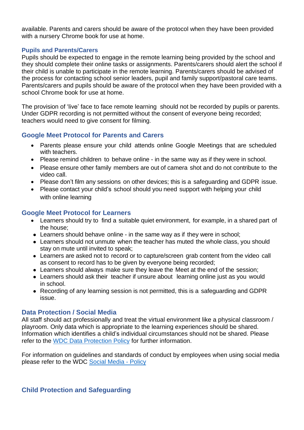available. Parents and carers should be aware of the protocol when they have been provided with a nursery Chrome book for use at home.

#### **Pupils and Parents/Carers**

Pupils should be expected to engage in the remote learning being provided by the school and they should complete their online tasks or assignments. Parents/carers should alert the school if their child is unable to participate in the remote learning. Parents/carers should be advised of the process for contacting school senior leaders, pupil and family support/pastoral care teams. Parents/carers and pupils should be aware of the protocol when they have been provided with a school Chrome book for use at home.

The provision of 'live' face to face remote learning should not be recorded by pupils or parents. Under GDPR recording is not permitted without the consent of everyone being recorded; teachers would need to give consent for filming.

# **Google Meet Protocol for Parents and Carers**

- Parents please ensure your child attends online Google Meetings that are scheduled with teachers.
- Please remind children to behave online in the same way as if they were in school.
- Please ensure other family members are out of camera shot and do not contribute to the video call.
- Please don't film any sessions on other devices; this is a safeguarding and GDPR issue.
- Please contact your child's school should you need support with helping your child with online learning

# **Google Meet Protocol for Learners**

- Learners should try to find a suitable quiet environment, for example, in a shared part of the house;
- Learners should behave online in the same way as if they were in school;
- Learners should not unmute when the teacher has muted the whole class, you should stay on mute until invited to speak;
- Learners are asked not to record or to capture/screen grab content from the video call as consent to record has to be given by everyone being recorded;
- Learners should always make sure they leave the Meet at the end of the session;
- Learners should ask their teacher if unsure about learning online just as you would in school.
- Recording of any learning session is not permitted, this is a safeguarding and GDPR issue.

# **Data Protection / Social Media**

All staff should act professionally and treat the virtual environment like a physical classroom / playroom. Only data which is appropriate to the learning experiences should be shared. Information which identifies a child's individual circumstances should not be shared. Please refer to the WDC Data [Protection](https://intranet.west-dunbarton.gov.uk/regulatory-regeneration/regulatory/legal/data-protection/data-protection-guidance/) Policy for further information.

For information on guidelines and standards of conduct by employees when using social media please refer to the WDC [Social](https://intranet.west-dunbarton.gov.uk/media/13578/social-media-policy.docx) Media - Policy